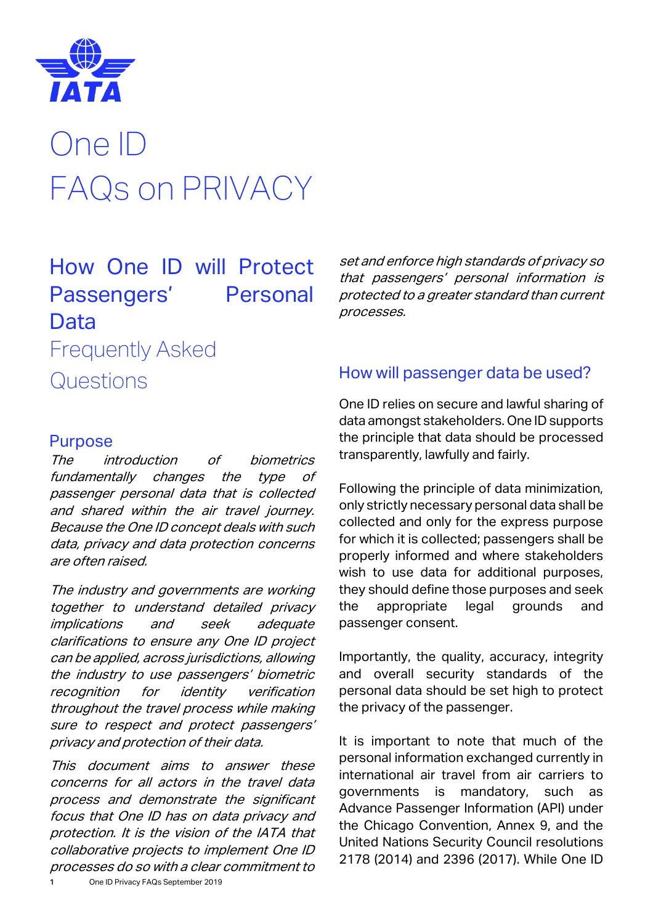

# One ID FAQs on PRIVACY

# How One ID will Protect Passengers' Personal Data Frequently Asked

Questions

#### Purpose

The introduction of biometrics fundamentally changes the type of passenger personal data that is collected and shared within the air travel journey. Because the One ID concept deals with such data, privacy and data protection concerns are often raised.

The industry and governments are working together to understand detailed privacy implications and seek adequate clarifications to ensure any One ID project can be applied, across jurisdictions, allowing the industry to use passengers' biometric recognition for identity verification throughout the travel process while making sure to respect and protect passengers' privacy and protection of their data.

1 One ID Privacy FAQs September 2019 This document aims to answer these concerns for all actors in the travel data process and demonstrate the significant focus that One ID has on data privacy and protection. It is the vision of the IATA that collaborative projects to implement One ID processes do so with a clear commitment to

set and enforce high standards of privacy so that passengers' personal information is protected to a greater standard than current processes.

# How will passenger data be used?

One ID relies on secure and lawful sharing of data amongst stakeholders. One ID supports the principle that data should be processed transparently, lawfully and fairly.

Following the principle of data minimization, only strictly necessary personal data shall be collected and only for the express purpose for which it is collected; passengers shall be properly informed and where stakeholders wish to use data for additional purposes. they should define those purposes and seek the appropriate legal grounds and passenger consent.

Importantly, the quality, accuracy, integrity and overall security standards of the personal data should be set high to protect the privacy of the passenger.

It is important to note that much of the personal information exchanged currently in international air travel from air carriers to governments is mandatory, such as Advance Passenger Information (API) under the Chicago Convention, Annex 9, and the United Nations Security Council resolutions 2178 (2014) and 2396 (2017). While One ID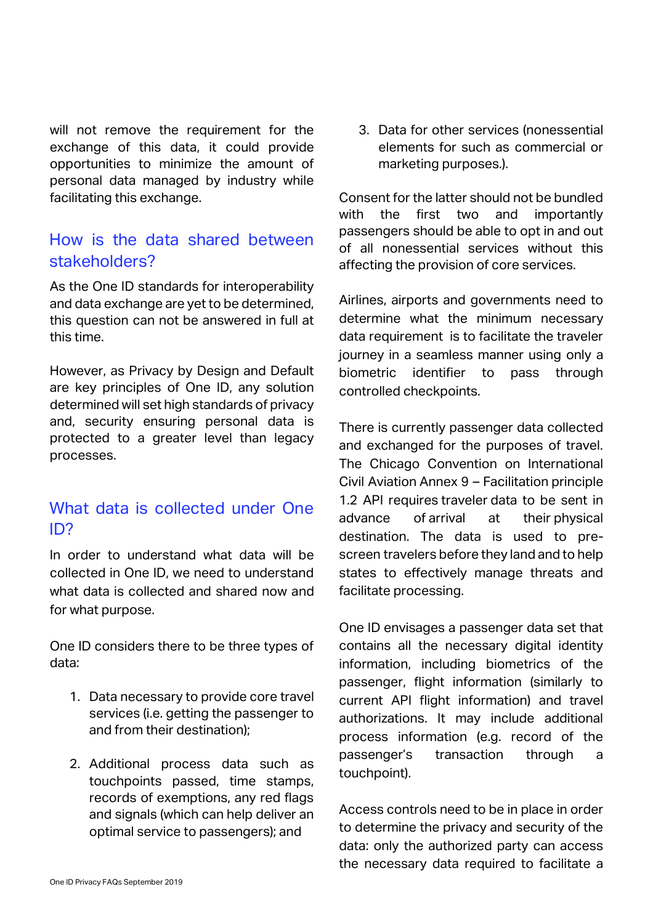will not remove the requirement for the exchange of this data, it could provide opportunities to minimize the amount of personal data managed by industry while facilitating this exchange.

#### How is the data shared between stakeholders?

As the One ID standards for interoperability and data exchange are yet to be determined, this question can not be answered in full at this time.

However, as Privacy by Design and Default are key principles of One ID, any solution determined will set high standards of privacy and, security ensuring personal data is protected to a greater level than legacy processes.

#### What data is collected under One ID?

In order to understand what data will be collected in One ID, we need to understand what data is collected and shared now and for what purpose.

One ID considers there to be three types of data:

- 1. Data necessary to provide core travel services (i.e. getting the passenger to and from their destination);
- 2. Additional process data such as touchpoints passed, time stamps, records of exemptions, any red flags and signals (which can help deliver an optimal service to passengers); and

3. Data for other services (nonessential elements for such as commercial or marketing purposes.).

Consent for the latter should not be bundled with the first two and importantly passengers should be able to opt in and out of all nonessential services without this affecting the provision of core services.

Airlines, airports and governments need to determine what the minimum necessary data requirement is to facilitate the traveler journey in a seamless manner using only a biometric identifier to pass through controlled checkpoints.

There is currently passenger data collected and exchanged for the purposes of travel. The Chicago Convention on International Civil Aviation Annex 9 – Facilitation principle 1.2 API requires traveler data to be sent in advance of arrival at their physical destination. The data is used to prescreen travelers before they land and to help states to effectively manage threats and facilitate processing.

One ID envisages a passenger data set that contains all the necessary digital identity information, including biometrics of the passenger, flight information (similarly to current API flight information) and travel authorizations. It may include additional process information (e.g. record of the passenger's transaction through a touchpoint).

Access controls need to be in place in order to determine the privacy and security of the data: only the authorized party can access the necessary data required to facilitate a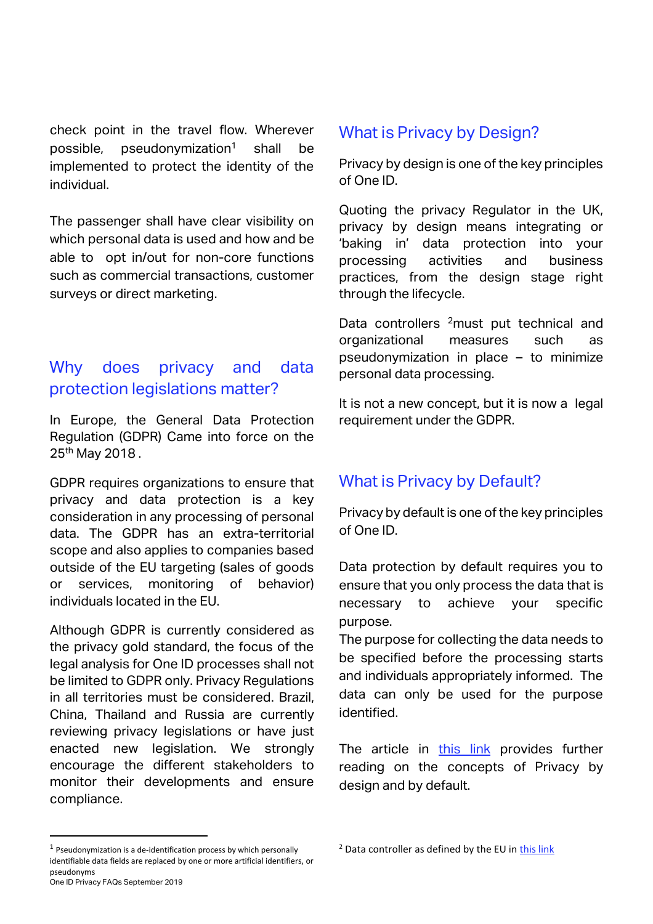check point in the travel flow. Wherever possible, pseudonymization<sup>1</sup> shall be implemented to protect the identity of the individual.

The passenger shall have clear visibility on which personal data is used and how and be able to opt in/out for non-core functions such as commercial transactions, customer surveys or direct marketing.

# Why does privacy and data protection legislations matter?

In Europe, the General Data Protection Regulation (GDPR) Came into force on the 25<sup>th</sup> May 2018.

GDPR requires organizations to ensure that privacy and data protection is a key consideration in any processing of personal data. The GDPR has an extra-territorial scope and also applies to companies based outside of the EU targeting (sales of goods or services, monitoring of behavior) individuals located in the EU.

Although GDPR is currently considered as the privacy gold standard, the focus of the legal analysis for One ID processes shall not be limited to GDPR only. Privacy Regulations in all territories must be considered. Brazil, China, Thailand and Russia are currently reviewing privacy legislations or have just enacted new legislation. We strongly encourage the different stakeholders to monitor their developments and ensure compliance.

#### What is Privacy by Design?

Privacy by design is one of the key principles of One ID.

Quoting the privacy Regulator in the UK, privacy by design means integrating or 'baking in' data protection into your processing activities and business practices, from the design stage right through the lifecycle.

Data controllers <sup>2</sup>must put technical and organizational measures such as pseudonymization in place – to minimize personal data processing.

It is not a new concept, but it is now a legal requirement under the GDPR.

# What is Privacy by Default?

Privacy by default is one of the key principles of One ID.

Data protection by default requires you to ensure that you only process the data that is necessary to achieve your specific purpose.

The purpose for collecting the data needs to be specified before the processing starts and individuals appropriately informed. The data can only be used for the purpose identified.

The article in [this link](https://www2.deloitte.com/ch/en/pages/risk/articles/gdpr-privacy-by-design-and-by-default.html) provides further reading on the concepts of Privacy by design and by default.

1

 $2$  Data controller as defined by the EU i[n this link](https://ec.europa.eu/info/law/law-topic/data-protection/reform/rules-business-and-organisations/obligations/controller-processor/what-data-controller-or-data-processor_en)

One ID Privacy FAQs September 2019  $<sup>1</sup>$  Pseudonymization is a de-identification process by which personally</sup> identifiable data fields are replaced by one or more artificial identifiers, or pseudonyms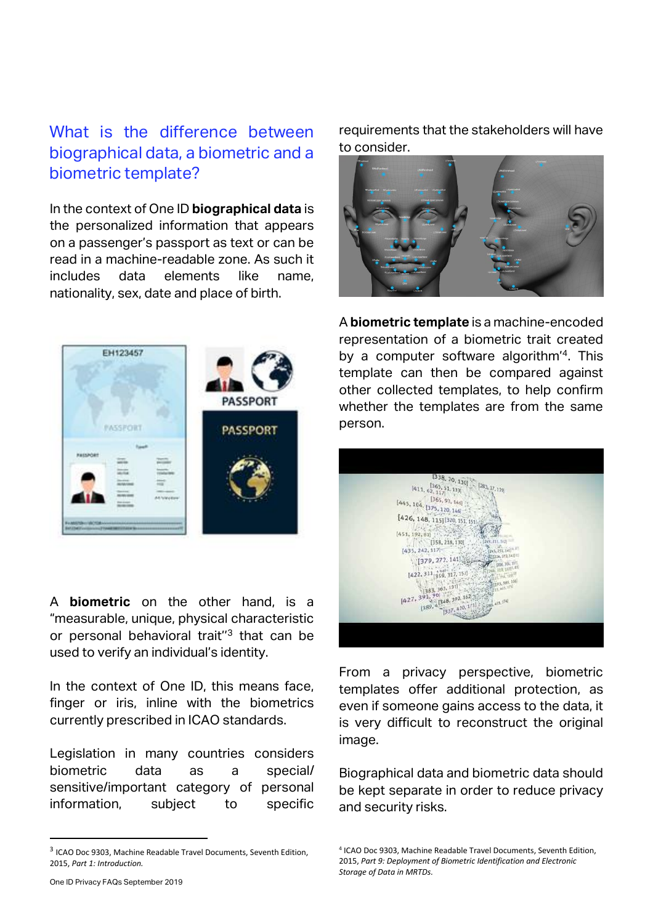### What is the difference between biographical data, a biometric and a biometric template?

In the context of One ID **biographical data** is the personalized information that appears on a passenger's passport as text or can be read in a machine-readable zone. As such it includes data elements like name, nationality, sex, date and place of birth.



A **biometric** on the other hand, is a "measurable, unique, physical characteristic or personal behavioral trait"<sup>3</sup> that can be used to verify an individual's identity.

In the context of One ID, this means face, finger or iris, inline with the biometrics currently prescribed in ICAO standards.

Legislation in many countries considers biometric data as a special/ sensitive/important category of personal information, subject to specific requirements that the stakeholders will have to consider.



A **biometric template** is a machine-encoded representation of a biometric trait created by a computer software algorithm'<sup>4</sup> . This template can then be compared against other collected templates, to help confirm whether the templates are from the same person.



From a privacy perspective, biometric templates offer additional protection, as even if someone gains access to the data, it is very difficult to reconstruct the original image.

Biographical data and biometric data should be kept separate in order to reduce privacy and security risks.

.

<sup>&</sup>lt;sup>3</sup> ICAO Doc 9303, Machine Readable Travel Documents, Seventh Edition, 2015, *Part 1: Introduction.*

<sup>4</sup> ICAO Doc 9303, Machine Readable Travel Documents, Seventh Edition, 2015, *Part 9: Deployment of Biometric Identification and Electronic Storage of Data in MRTDs.*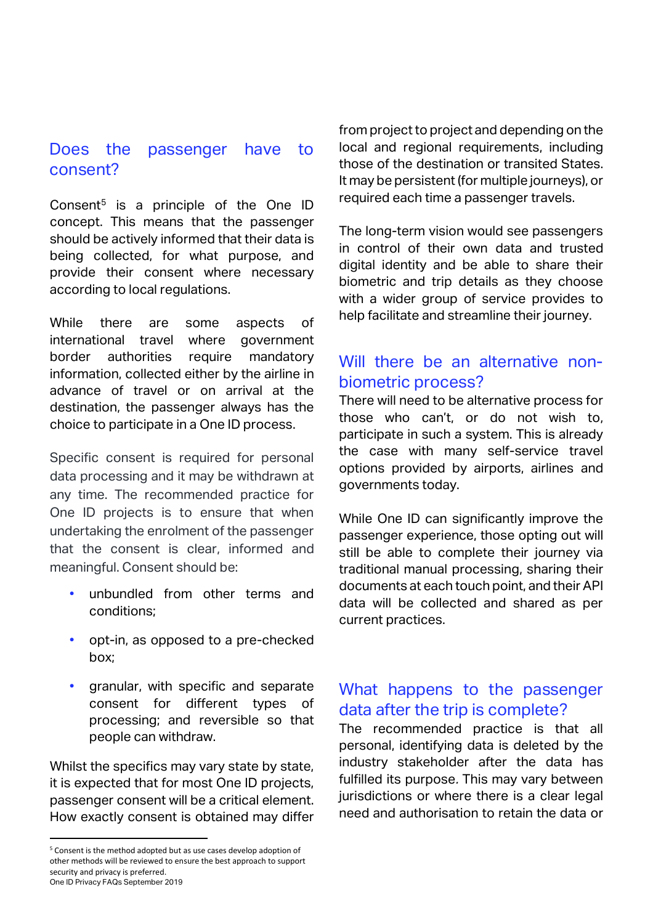# Does the passenger have to consent?

Consent<sup>5</sup> is a principle of the One ID concept. This means that the passenger should be actively informed that their data is being collected, for what purpose, and provide their consent where necessary according to local regulations.

While there are some aspects of international travel where government border authorities require mandatory information, collected either by the airline in advance of travel or on arrival at the destination, the passenger always has the choice to participate in a One ID process.

Specific consent is required for personal data processing and it may be withdrawn at any time. The recommended practice for One ID projects is to ensure that when undertaking the enrolment of the passenger that the consent is clear, informed and meaningful. Consent should be:

- unbundled from other terms and conditions;
- opt-in, as opposed to a pre-checked box;
- granular, with specific and separate consent for different types of processing; and reversible so that people can withdraw.

Whilst the specifics may vary state by state, it is expected that for most One ID projects, passenger consent will be a critical element. How exactly consent is obtained may differ

.

from project to project and depending on the local and regional requirements, including those of the destination or transited States. It may be persistent (for multiple journeys), or required each time a passenger travels.

The long-term vision would see passengers in control of their own data and trusted digital identity and be able to share their biometric and trip details as they choose with a wider group of service provides to help facilitate and streamline their journey.

#### Will there be an alternative nonbiometric process?

There will need to be alternative process for those who can't, or do not wish to, participate in such a system. This is already the case with many self-service travel options provided by airports, airlines and governments today.

While One ID can significantly improve the passenger experience, those opting out will still be able to complete their journey via traditional manual processing, sharing their documents at each touch point, and their API data will be collected and shared as per current practices.

### What happens to the passenger data after the trip is complete?

The recommended practice is that all personal, identifying data is deleted by the industry stakeholder after the data has fulfilled its purpose. This may vary between jurisdictions or where there is a clear legal need and authorisation to retain the data or

One ID Privacy FAQs September 2019 <sup>5</sup> Consent is the method adopted but as use cases develop adoption of other methods will be reviewed to ensure the best approach to support security and privacy is preferred.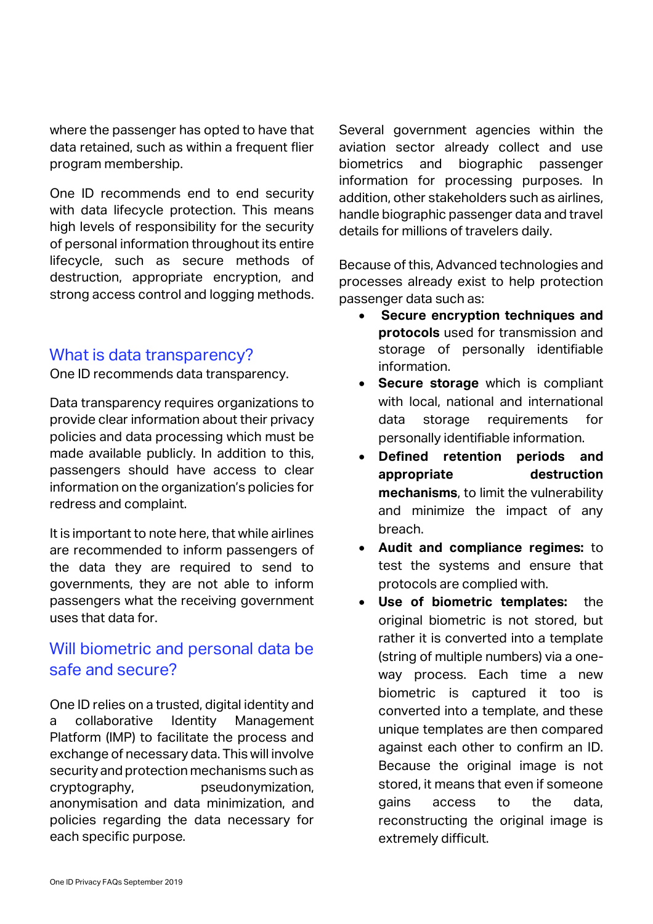where the passenger has opted to have that data retained, such as within a frequent flier program membership.

One ID recommends end to end security with data lifecycle protection. This means high levels of responsibility for the security of personal information throughout its entire lifecycle, such as secure methods of destruction, appropriate encryption, and strong access control and logging methods.

#### What is data transparency?

One ID recommends data transparency.

Data transparency requires organizations to provide clear information about their privacy policies and data processing which must be made available publicly. In addition to this, passengers should have access to clear information on the organization's policies for redress and complaint.

It is important to note here, that while airlines are recommended to inform passengers of the data they are required to send to governments, they are not able to inform passengers what the receiving government uses that data for.

### Will biometric and personal data be safe and secure?

One ID relies on a trusted, digital identity and a collaborative Identity Management Platform (IMP) to facilitate the process and exchange of necessary data. This will involve security and protection mechanisms such as cryptography, pseudonymization, anonymisation and data minimization, and policies regarding the data necessary for each specific purpose.

Several government agencies within the aviation sector already collect and use biometrics and biographic passenger information for processing purposes. In addition, other stakeholders such as airlines, handle biographic passenger data and travel details for millions of travelers daily.

Because of this, Advanced technologies and processes already exist to help protection passenger data such as:

- **Secure encryption techniques and protocols** used for transmission and storage of personally identifiable information.
- **Secure storage** which is compliant with local, national and international data storage requirements for personally identifiable information.
- **Defined retention periods and appropriate destruction mechanisms**, to limit the vulnerability and minimize the impact of any breach.
- **Audit and compliance regimes:** to test the systems and ensure that protocols are complied with.
- **Use of biometric templates:** the original biometric is not stored, but rather it is converted into a template (string of multiple numbers) via a oneway process. Each time a new biometric is captured it too is converted into a template, and these unique templates are then compared against each other to confirm an ID. Because the original image is not stored, it means that even if someone gains access to the data, reconstructing the original image is extremely difficult.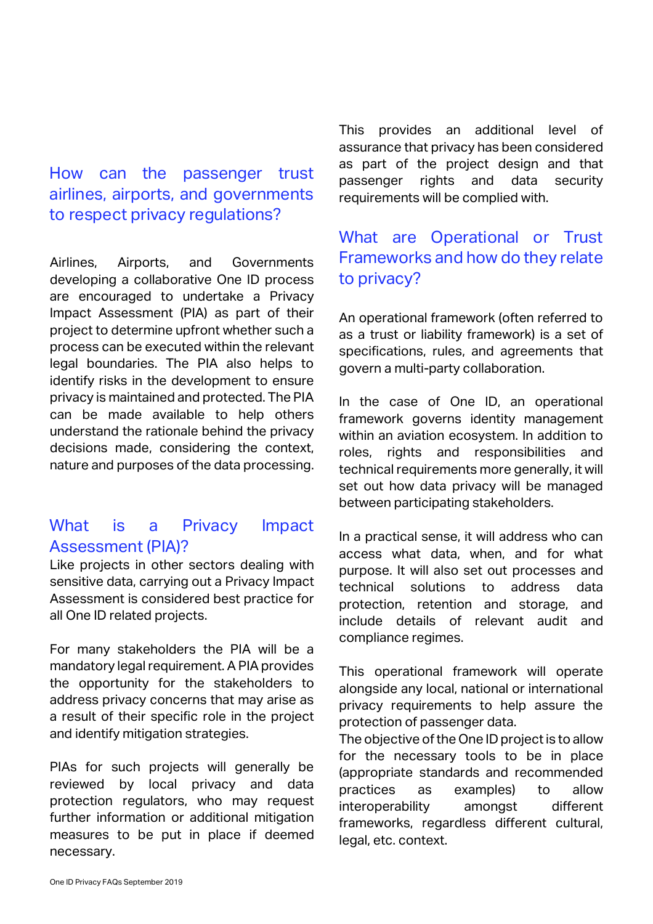#### How can the passenger trust airlines, airports, and governments to respect privacy regulations?

Airlines, Airports, and Governments developing a collaborative One ID process are encouraged to undertake a Privacy Impact Assessment (PIA) as part of their project to determine upfront whether such a process can be executed within the relevant legal boundaries. The PIA also helps to identify risks in the development to ensure privacy is maintained and protected. The PIA can be made available to help others understand the rationale behind the privacy decisions made, considering the context, nature and purposes of the data processing.

#### What is a Privacy Impact Assessment (PIA)?

Like projects in other sectors dealing with sensitive data, carrying out a Privacy Impact Assessment is considered best practice for all One ID related projects.

For many stakeholders the PIA will be a mandatory legal requirement. A PIA provides the opportunity for the stakeholders to address privacy concerns that may arise as a result of their specific role in the project and identify mitigation strategies.

PIAs for such projects will generally be reviewed by local privacy and data protection regulators, who may request further information or additional mitigation measures to be put in place if deemed necessary.

This provides an additional level of assurance that privacy has been considered as part of the project design and that passenger rights and data security requirements will be complied with.

# What are Operational or Trust Frameworks and how do they relate to privacy?

An operational framework (often referred to as a trust or liability framework) is a set of specifications, rules, and agreements that govern a multi-party collaboration.

In the case of One ID, an operational framework governs identity management within an aviation ecosystem. In addition to roles, rights and responsibilities and technical requirements more generally, it will set out how data privacy will be managed between participating stakeholders.

In a practical sense, it will address who can access what data, when, and for what purpose. It will also set out processes and technical solutions to address data protection, retention and storage, and include details of relevant audit and compliance regimes.

This operational framework will operate alongside any local, national or international privacy requirements to help assure the protection of passenger data.

The objective of the One ID project is to allow for the necessary tools to be in place (appropriate standards and recommended practices as examples) to allow interoperability amongst different frameworks, regardless different cultural, legal, etc. context.